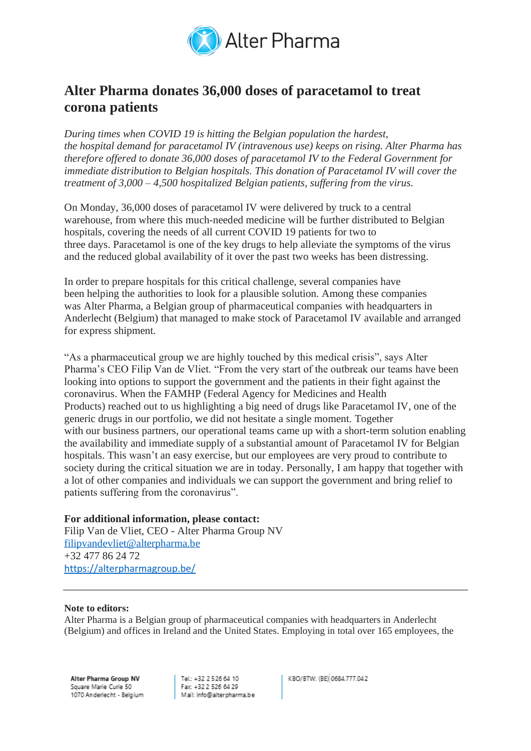

## **Alter Pharma donates 36,000 doses of paracetamol to treat corona patients**

*During times when COVID 19 is hitting the Belgian population the hardest, the hospital demand for paracetamol IV (intravenous use) keeps on rising. Alter Pharma has therefore offered to donate 36,000 doses of paracetamol IV to the Federal Government for immediate distribution to Belgian hospitals. This donation of Paracetamol IV will cover the treatment of 3,000 – 4,500 hospitalized Belgian patients, suffering from the virus.*

On Monday, 36,000 doses of paracetamol IV were delivered by truck to a central warehouse, from where this much-needed medicine will be further distributed to Belgian hospitals, covering the needs of all current COVID 19 patients for two to three days. Paracetamol is one of the key drugs to help alleviate the symptoms of the virus and the reduced global availability of it over the past two weeks has been distressing.

In order to prepare hospitals for this critical challenge, several companies have been helping the authorities to look for a plausible solution. Among these companies was Alter Pharma, a Belgian group of pharmaceutical companies with headquarters in Anderlecht (Belgium) that managed to make stock of Paracetamol IV available and arranged for express shipment.

"As a pharmaceutical group we are highly touched by this medical crisis", says Alter Pharma's CEO Filip Van de Vliet. "From the very start of the outbreak our teams have been looking into options to support the government and the patients in their fight against the coronavirus. When the FAMHP (Federal Agency for Medicines and Health Products) reached out to us highlighting a big need of drugs like Paracetamol IV, one of the generic drugs in our portfolio, we did not hesitate a single moment. Together with our business partners, our operational teams came up with a short-term solution enabling the availability and immediate supply of a substantial amount of Paracetamol IV for Belgian hospitals. This wasn't an easy exercise, but our employees are very proud to contribute to society during the critical situation we are in today. Personally, I am happy that together with a lot of other companies and individuals we can support the government and bring relief to patients suffering from the coronavirus".

## **For additional information, please contact:**

Filip Van de Vliet, CEO - Alter Pharma Group NV [filipvandevliet@alterpharma.be](mailto:filipvandevliet@alterpharma.be) +32 477 86 24 72 <https://alterpharmagroup.be/>

## **Note to editors:**

Alter Pharma is a Belgian group of pharmaceutical companies with headquarters in Anderlecht (Belgium) and offices in Ireland and the United States. Employing in total over 165 employees, the

Alter Pharma Group NV Square Marie Curie 50 1070 Anderlecht - Belgium

Tel: +32 2 5 26 64 10 Fax: +32 2 526 64 29 Mail: info@alterpharma.be KBO/BTW: (BE) 0684.777.042